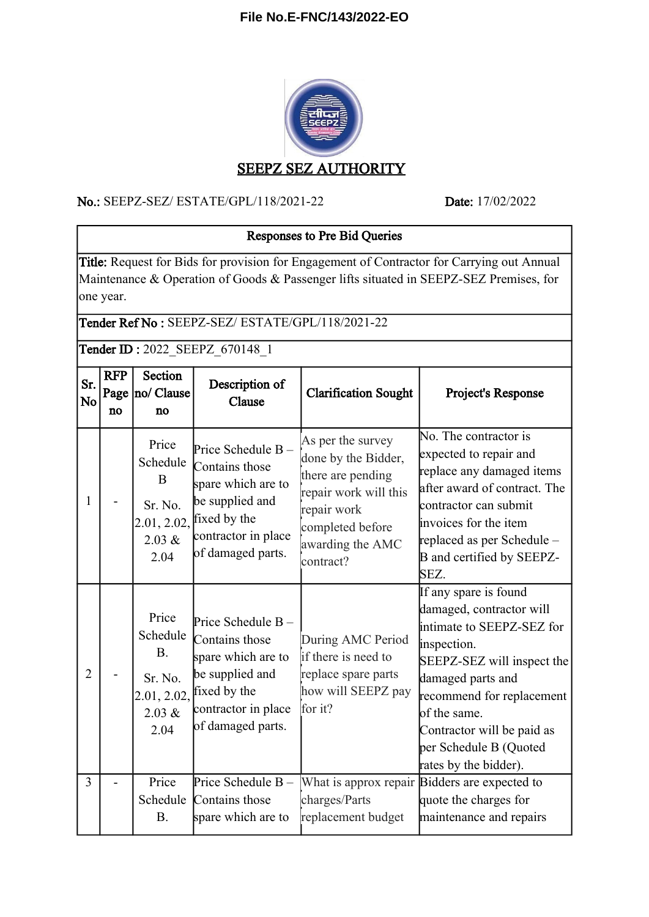## **File No.E-FNC/143/2022-EO**



#### No.: SEEPZ-SEZ/ ESTATE/GPL/118/2021-22 Date: 17/02/2022

# Responses to Pre Bid Queries

Title: Request for Bids for provision for Engagement of Contractor for Carrying out Annual Maintenance & Operation of Goods & Passenger lifts situated in SEEPZ-SEZ Premises, for one year.

## Tender Ref No : SEEPZ-SEZ/ ESTATE/GPL/118/2021-22

Tender ID: 2022\_SEEPZ\_670148\_1

| Sr.<br>No      | <b>RFP</b><br>Page<br>no | Section<br>no/ Clause<br>no                                                | Description of<br>Clause                                                                                                                 | <b>Clarification Sought</b>                                                                                                                                | Project's Response                                                                                                                                                                                                                                                             |
|----------------|--------------------------|----------------------------------------------------------------------------|------------------------------------------------------------------------------------------------------------------------------------------|------------------------------------------------------------------------------------------------------------------------------------------------------------|--------------------------------------------------------------------------------------------------------------------------------------------------------------------------------------------------------------------------------------------------------------------------------|
| 1              |                          | Price<br>Schedule<br>B<br>Sr. No.<br>2.01, 2.02,<br>2.03 &<br>2.04         | Price Schedule B-<br>Contains those<br>spare which are to<br>be supplied and<br>fixed by the<br>contractor in place<br>of damaged parts. | As per the survey<br>done by the Bidder,<br>there are pending<br>repair work will this<br>repair work<br>completed before<br>awarding the AMC<br>contract? | No. The contractor is<br>expected to repair and<br>replace any damaged items<br>after award of contract. The<br>contractor can submit<br>invoices for the item<br>replaced as per Schedule -<br>B and certified by SEEPZ-<br>SEZ.                                              |
| $\overline{2}$ |                          | Price<br>Schedule<br><b>B.</b><br>Sr. No.<br>2.01, 2.02,<br>2.03 &<br>2.04 | Price Schedule B-<br>Contains those<br>spare which are to<br>be supplied and<br>fixed by the<br>contractor in place<br>of damaged parts. | During AMC Period<br>if there is need to<br>replace spare parts<br>how will SEEPZ pay<br>for it?                                                           | If any spare is found<br>damaged, contractor will<br>intimate to SEEPZ-SEZ for<br>inspection.<br>SEEPZ-SEZ will inspect the<br>damaged parts and<br>recommend for replacement<br>of the same.<br>Contractor will be paid as<br>per Schedule B (Quoted<br>rates by the bidder). |
| $\overline{3}$ |                          | Price<br>Schedule<br><b>B.</b>                                             | Price Schedule B-<br>Contains those<br>spare which are to                                                                                | charges/Parts<br>replacement budget                                                                                                                        | What is approx repair Bidders are expected to<br>quote the charges for<br>maintenance and repairs                                                                                                                                                                              |